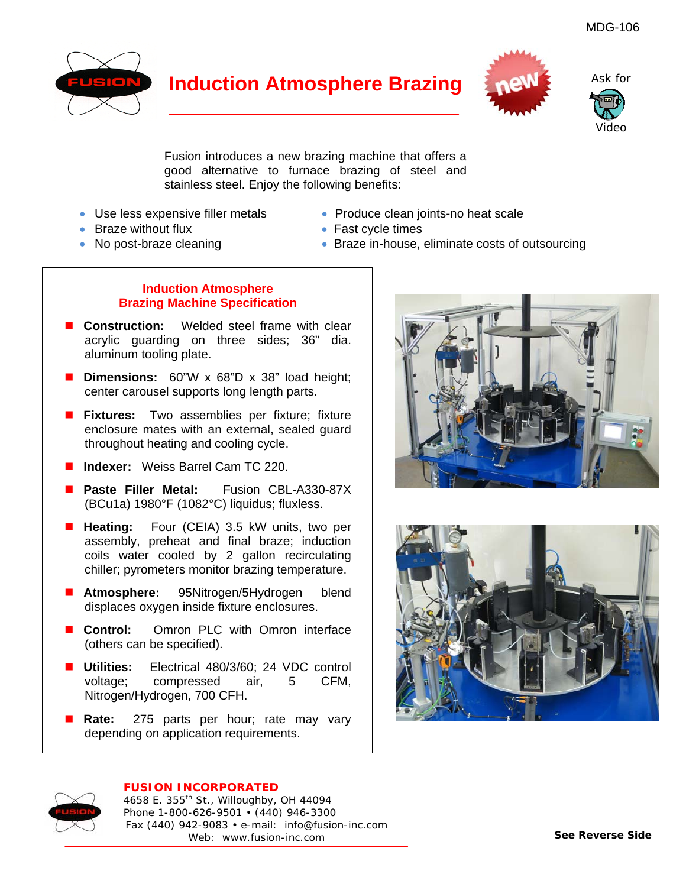

## **Induction Atmosphere Brazing**



Ask for

Video

Fusion introduces a new brazing machine that offers a good alternative to furnace brazing of steel and stainless steel. Enjoy the following benefits:

- 
- Braze without flux  **Fast cycle times**
- 
- Use less expensive filler metals Produce clean joints-no heat scale
	-
- No post-braze cleaning example in-house, eliminate costs of outsourcing

### **Induction Atmosphere Brazing Machine Specification**

- **Construction:** Welded steel frame with clear acrylic guarding on three sides; 36" dia. aluminum tooling plate.
- **Dimensions:** 60"W x 68"D x 38" load height; center carousel supports long length parts.
- **Fixtures:** Two assemblies per fixture; fixture enclosure mates with an external, sealed guard throughout heating and cooling cycle.
- **Indexer:** Weiss Barrel Cam TC 220.
- **Paste Filler Metal:** Fusion CBL-A330-87X (BCu1a) 1980°F (1082°C) liquidus; fluxless.
- **Heating:** Four (CEIA) 3.5 kW units, two per assembly, preheat and final braze; induction coils water cooled by 2 gallon recirculating chiller; pyrometers monitor brazing temperature.
- **Atmosphere:** 95Nitrogen/5Hydrogen blend displaces oxygen inside fixture enclosures.
- **Control:** Omron PLC with Omron interface (others can be specified).
- **Utilities:** Electrical 480/3/60; 24 VDC control voltage; compressed air, 5 CFM, Nitrogen/Hydrogen, 700 CFH.
- **Rate:** 275 parts per hour; rate may vary depending on application requirements.







#### **FUSION INCORPORATED**